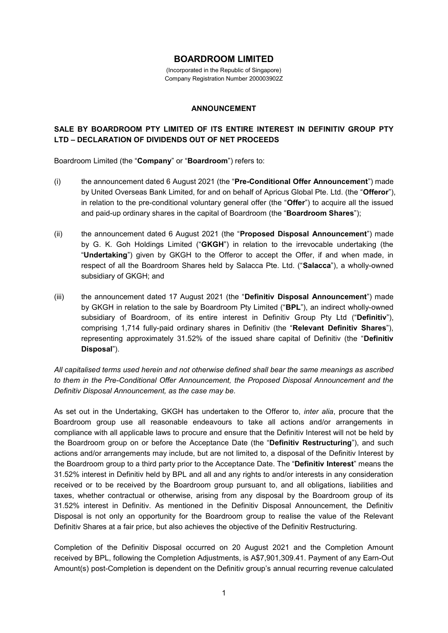## **BOARDROOM LIMITED**

(Incorporated in the Republic of Singapore) Company Registration Number 200003902Z

## **ANNOUNCEMENT**

## **SALE BY BOARDROOM PTY LIMITED OF ITS ENTIRE INTEREST IN DEFINITIV GROUP PTY LTD – DECLARATION OF DIVIDENDS OUT OF NET PROCEEDS**

Boardroom Limited (the "**Company**" or "**Boardroom**") refers to:

- (i) the announcement dated 6 August 2021 (the "**Pre-Conditional Offer Announcement**") made by United Overseas Bank Limited, for and on behalf of Apricus Global Pte. Ltd. (the "**Offeror**"), in relation to the pre-conditional voluntary general offer (the "**Offer**") to acquire all the issued and paid-up ordinary shares in the capital of Boardroom (the "**Boardroom Shares**");
- (ii) the announcement dated 6 August 2021 (the "**Proposed Disposal Announcement**") made by G. K. Goh Holdings Limited ("**GKGH**") in relation to the irrevocable undertaking (the "**Undertaking**") given by GKGH to the Offeror to accept the Offer, if and when made, in respect of all the Boardroom Shares held by Salacca Pte. Ltd. ("**Salacca**"), a wholly-owned subsidiary of GKGH; and
- (iii) the announcement dated 17 August 2021 (the "**Definitiv Disposal Announcement**") made by GKGH in relation to the sale by Boardroom Pty Limited ("**BPL**"), an indirect wholly-owned subsidiary of Boardroom, of its entire interest in Definitiv Group Pty Ltd ("**Definitiv**"), comprising 1,714 fully-paid ordinary shares in Definitiv (the "**Relevant Definitiv Shares**"), representing approximately 31.52% of the issued share capital of Definitiv (the "**Definitiv Disposal**").

*All capitalised terms used herein and not otherwise defined shall bear the same meanings as ascribed to them in the Pre-Conditional Offer Announcement, the Proposed Disposal Announcement and the Definitiv Disposal Announcement, as the case may be.*

As set out in the Undertaking, GKGH has undertaken to the Offeror to, *inter alia*, procure that the Boardroom group use all reasonable endeavours to take all actions and/or arrangements in compliance with all applicable laws to procure and ensure that the Definitiv Interest will not be held by the Boardroom group on or before the Acceptance Date (the "**Definitiv Restructuring**"), and such actions and/or arrangements may include, but are not limited to, a disposal of the Definitiv Interest by the Boardroom group to a third party prior to the Acceptance Date. The "**Definitiv Interest**" means the 31.52% interest in Definitiv held by BPL and all and any rights to and/or interests in any consideration received or to be received by the Boardroom group pursuant to, and all obligations, liabilities and taxes, whether contractual or otherwise, arising from any disposal by the Boardroom group of its 31.52% interest in Definitiv. As mentioned in the Definitiv Disposal Announcement, the Definitiv Disposal is not only an opportunity for the Boardroom group to realise the value of the Relevant Definitiv Shares at a fair price, but also achieves the objective of the Definitiv Restructuring.

Completion of the Definitiv Disposal occurred on 20 August 2021 and the Completion Amount received by BPL, following the Completion Adjustments, is A\$7,901,309.41. Payment of any Earn-Out Amount(s) post-Completion is dependent on the Definitiv group's annual recurring revenue calculated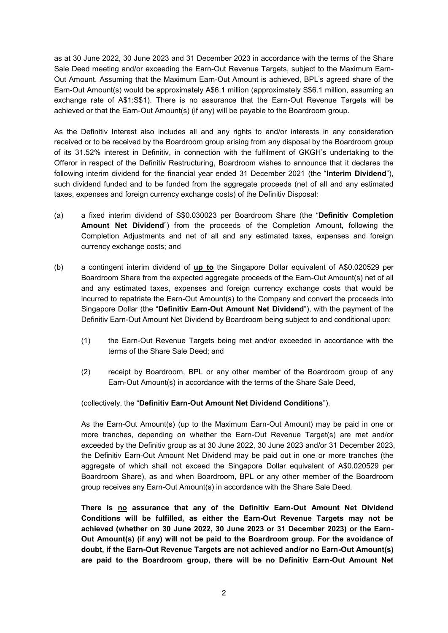as at 30 June 2022, 30 June 2023 and 31 December 2023 in accordance with the terms of the Share Sale Deed meeting and/or exceeding the Earn-Out Revenue Targets, subject to the Maximum Earn-Out Amount. Assuming that the Maximum Earn-Out Amount is achieved, BPL's agreed share of the Earn-Out Amount(s) would be approximately A\$6.1 million (approximately S\$6.1 million, assuming an exchange rate of A\$1:S\$1). There is no assurance that the Earn-Out Revenue Targets will be achieved or that the Earn-Out Amount(s) (if any) will be payable to the Boardroom group.

As the Definitiv Interest also includes all and any rights to and/or interests in any consideration received or to be received by the Boardroom group arising from any disposal by the Boardroom group of its 31.52% interest in Definitiv, in connection with the fulfilment of GKGH's undertaking to the Offeror in respect of the Definitiv Restructuring, Boardroom wishes to announce that it declares the following interim dividend for the financial year ended 31 December 2021 (the "**Interim Dividend**"), such dividend funded and to be funded from the aggregate proceeds (net of all and any estimated taxes, expenses and foreign currency exchange costs) of the Definitiv Disposal:

- (a) a fixed interim dividend of S\$0.030023 per Boardroom Share (the "**Definitiv Completion Amount Net Dividend**") from the proceeds of the Completion Amount, following the Completion Adjustments and net of all and any estimated taxes, expenses and foreign currency exchange costs; and
- (b) a contingent interim dividend of **up to** the Singapore Dollar equivalent of A\$0.020529 per Boardroom Share from the expected aggregate proceeds of the Earn-Out Amount(s) net of all and any estimated taxes, expenses and foreign currency exchange costs that would be incurred to repatriate the Earn-Out Amount(s) to the Company and convert the proceeds into Singapore Dollar (the "**Definitiv Earn-Out Amount Net Dividend**"), with the payment of the Definitiv Earn-Out Amount Net Dividend by Boardroom being subject to and conditional upon:
	- (1) the Earn-Out Revenue Targets being met and/or exceeded in accordance with the terms of the Share Sale Deed; and
	- (2) receipt by Boardroom, BPL or any other member of the Boardroom group of any Earn-Out Amount(s) in accordance with the terms of the Share Sale Deed,

(collectively, the "**Definitiv Earn-Out Amount Net Dividend Conditions**").

As the Earn-Out Amount(s) (up to the Maximum Earn-Out Amount) may be paid in one or more tranches, depending on whether the Earn-Out Revenue Target(s) are met and/or exceeded by the Definitiv group as at 30 June 2022, 30 June 2023 and/or 31 December 2023, the Definitiv Earn-Out Amount Net Dividend may be paid out in one or more tranches (the aggregate of which shall not exceed the Singapore Dollar equivalent of A\$0.020529 per Boardroom Share), as and when Boardroom, BPL or any other member of the Boardroom group receives any Earn-Out Amount(s) in accordance with the Share Sale Deed.

**There is no assurance that any of the Definitiv Earn-Out Amount Net Dividend Conditions will be fulfilled, as either the Earn-Out Revenue Targets may not be achieved (whether on 30 June 2022, 30 June 2023 or 31 December 2023) or the Earn-Out Amount(s) (if any) will not be paid to the Boardroom group. For the avoidance of doubt, if the Earn-Out Revenue Targets are not achieved and/or no Earn-Out Amount(s) are paid to the Boardroom group, there will be no Definitiv Earn-Out Amount Net**